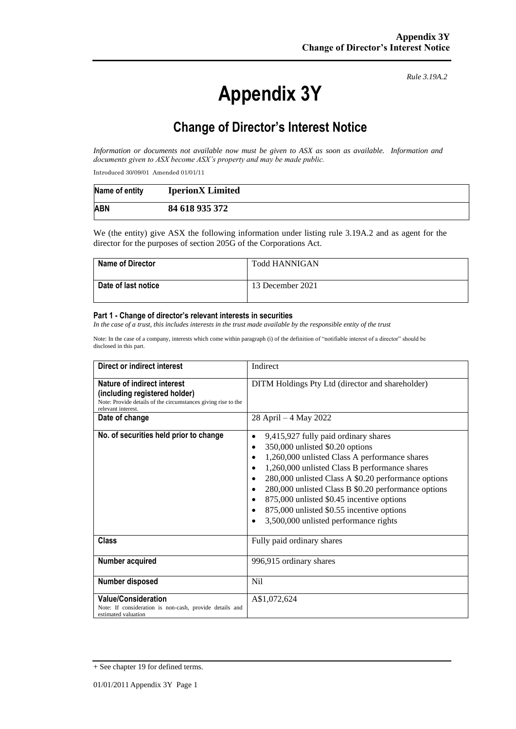# **Appendix 3Y**

*Rule 3.19A.2*

# **Change of Director's Interest Notice**

*Information or documents not available now must be given to ASX as soon as available. Information and documents given to ASX become ASX's property and may be made public.*

Introduced 30/09/01 Amended 01/01/11

| Name of entity | <b>IperionX</b> Limited |
|----------------|-------------------------|
| <b>ABN</b>     | 84 618 935 372          |

We (the entity) give ASX the following information under listing rule 3.19A.2 and as agent for the director for the purposes of section 205G of the Corporations Act.

| <b>Name of Director</b> | <b>Todd HANNIGAN</b> |
|-------------------------|----------------------|
| Date of last notice     | 13 December 2021     |

#### **Part 1 - Change of director's relevant interests in securities**

*In the case of a trust, this includes interests in the trust made available by the responsible entity of the trust*

Note: In the case of a company, interests which come within paragraph (i) of the definition of "notifiable interest of a director" should be disclosed in this part.

| Direct or indirect interest                                                                                                                        | Indirect                                                                                                                                                                                                                                                                                                                                                                                                                   |  |
|----------------------------------------------------------------------------------------------------------------------------------------------------|----------------------------------------------------------------------------------------------------------------------------------------------------------------------------------------------------------------------------------------------------------------------------------------------------------------------------------------------------------------------------------------------------------------------------|--|
| Nature of indirect interest<br>(including registered holder)<br>Note: Provide details of the circumstances giving rise to the<br>relevant interest | DITM Holdings Pty Ltd (director and shareholder)                                                                                                                                                                                                                                                                                                                                                                           |  |
| Date of change                                                                                                                                     | 28 April – 4 May 2022                                                                                                                                                                                                                                                                                                                                                                                                      |  |
| No. of securities held prior to change                                                                                                             | 9,415,927 fully paid ordinary shares<br>350,000 unlisted \$0.20 options<br>1,260,000 unlisted Class A performance shares<br>1,260,000 unlisted Class B performance shares<br>280,000 unlisted Class A \$0.20 performance options<br>280,000 unlisted Class B \$0.20 performance options<br>875,000 unlisted \$0.45 incentive options<br>875,000 unlisted \$0.55 incentive options<br>3,500,000 unlisted performance rights |  |
| <b>Class</b>                                                                                                                                       | Fully paid ordinary shares                                                                                                                                                                                                                                                                                                                                                                                                 |  |
| Number acquired                                                                                                                                    | 996,915 ordinary shares                                                                                                                                                                                                                                                                                                                                                                                                    |  |
| Number disposed                                                                                                                                    | N <sub>i</sub>                                                                                                                                                                                                                                                                                                                                                                                                             |  |
| <b>Value/Consideration</b><br>Note: If consideration is non-cash, provide details and<br>estimated valuation                                       | A\$1,072,624                                                                                                                                                                                                                                                                                                                                                                                                               |  |

<sup>+</sup> See chapter 19 for defined terms.